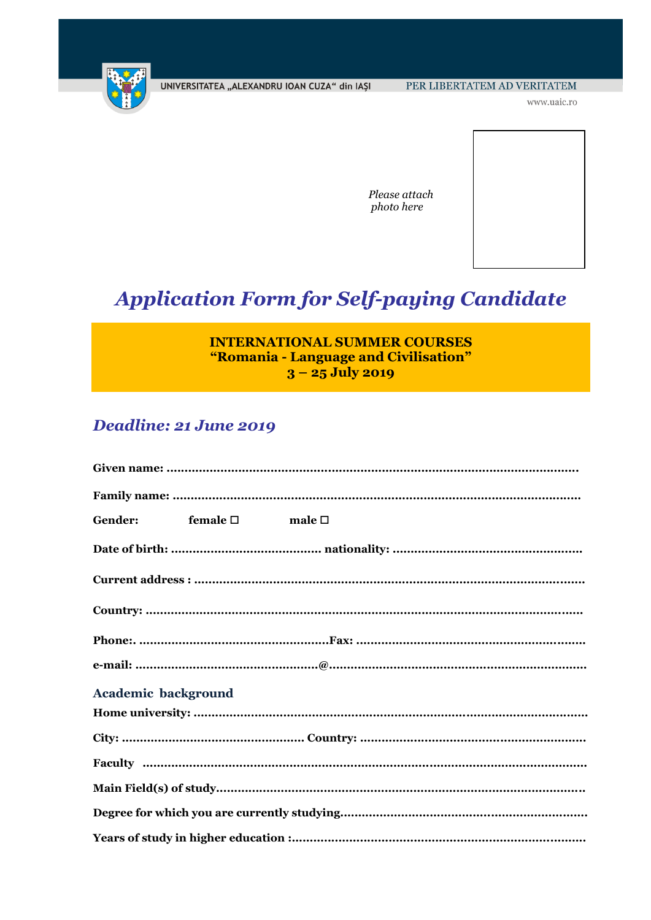

PER LIBERTATEM AD VERITATEM

www.uaic.ro

Please attach photo here

# **Application Form for Self-paying Candidate**

# **INTERNATIONAL SUMMER COURSES** "Romania - Language and Civilisation"  $3 - 25$  July 2019

# Deadline: 21 June 2019

| <b>Gender:</b>             | female $\square$ male $\square$ |  |  |
|----------------------------|---------------------------------|--|--|
|                            |                                 |  |  |
|                            |                                 |  |  |
|                            |                                 |  |  |
|                            |                                 |  |  |
|                            |                                 |  |  |
| <b>Academic background</b> |                                 |  |  |
|                            |                                 |  |  |
|                            |                                 |  |  |
|                            |                                 |  |  |
|                            |                                 |  |  |
|                            |                                 |  |  |
|                            |                                 |  |  |